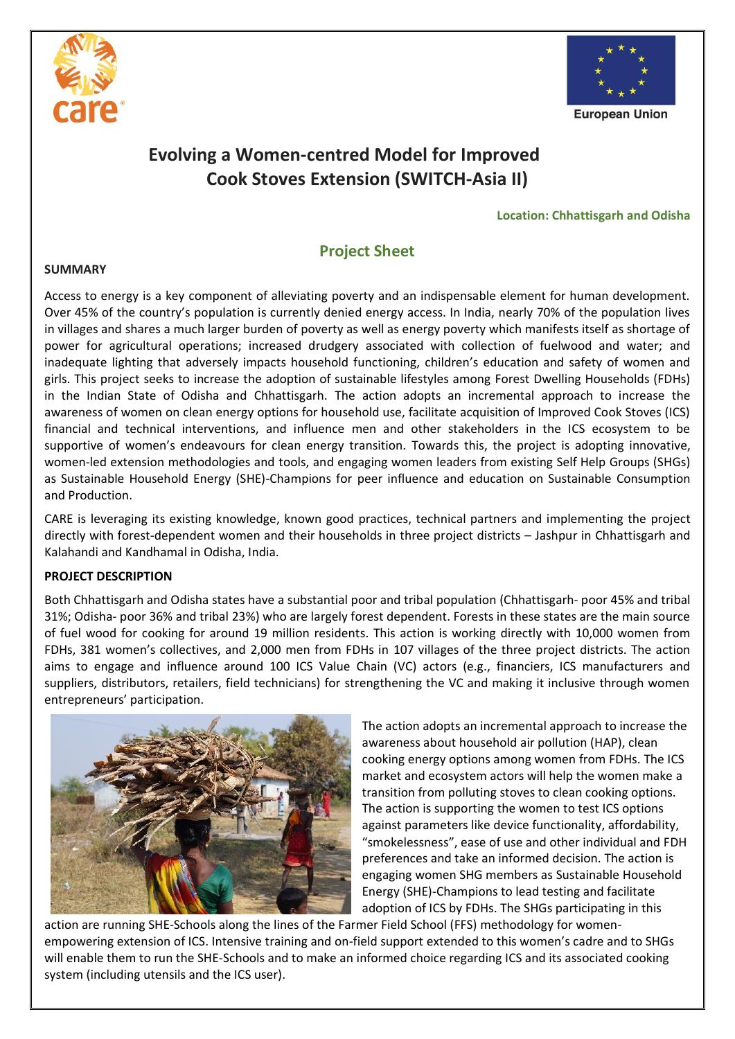



**European Union** 

# **Evolving a Women-centred Model for Improved Cook Stoves Extension (SWITCH-Asia II)**

#### **Location: Chhattisgarh and Odisha**

## **Project Sheet**

#### **SUMMARY**

Access to energy is a key component of alleviating poverty and an indispensable element for human development. Over 45% of the country's population is currently denied energy access. In India, nearly 70% of the population lives in villages and shares a much larger burden of poverty as well as energy poverty which manifests itself as shortage of power for agricultural operations; increased drudgery associated with collection of fuelwood and water; and inadequate lighting that adversely impacts household functioning, children's education and safety of women and girls. This project seeks to increase the adoption of sustainable lifestyles among Forest Dwelling Households (FDHs) in the Indian State of Odisha and Chhattisgarh. The action adopts an incremental approach to increase the awareness of women on clean energy options for household use, facilitate acquisition of Improved Cook Stoves (ICS) financial and technical interventions, and influence men and other stakeholders in the ICS ecosystem to be supportive of women's endeavours for clean energy transition. Towards this, the project is adopting innovative, women-led extension methodologies and tools, and engaging women leaders from existing Self Help Groups (SHGs) as Sustainable Household Energy (SHE)-Champions for peer influence and education on Sustainable Consumption and Production.

CARE is leveraging its existing knowledge, known good practices, technical partners and implementing the project directly with forest-dependent women and their households in three project districts – Jashpur in Chhattisgarh and Kalahandi and Kandhamal in Odisha, India.

## **PROJECT DESCRIPTION**

Both Chhattisgarh and Odisha states have a substantial poor and tribal population (Chhattisgarh- poor 45% and tribal 31%; Odisha- poor 36% and tribal 23%) who are largely forest dependent. Forests in these states are the main source of fuel wood for cooking for around 19 million residents. This action is working directly with 10,000 women from FDHs, 381 women's collectives, and 2,000 men from FDHs in 107 villages of the three project districts. The action aims to engage and influence around 100 ICS Value Chain (VC) actors (e.g., financiers, ICS manufacturers and suppliers, distributors, retailers, field technicians) for strengthening the VC and making it inclusive through women entrepreneurs' participation.



The action adopts an incremental approach to increase the awareness about household air pollution (HAP), clean cooking energy options among women from FDHs. The ICS market and ecosystem actors will help the women make a transition from polluting stoves to clean cooking options. The action is supporting the women to test ICS options against parameters like device functionality, affordability, "smokelessness", ease of use and other individual and FDH preferences and take an informed decision. The action is engaging women SHG members as Sustainable Household Energy (SHE)-Champions to lead testing and facilitate adoption of ICS by FDHs. The SHGs participating in this

action are running SHE-Schools along the lines of the Farmer Field School (FFS) methodology for womenempowering extension of ICS. Intensive training and on-field support extended to this women's cadre and to SHGs will enable them to run the SHE-Schools and to make an informed choice regarding ICS and its associated cooking system (including utensils and the ICS user).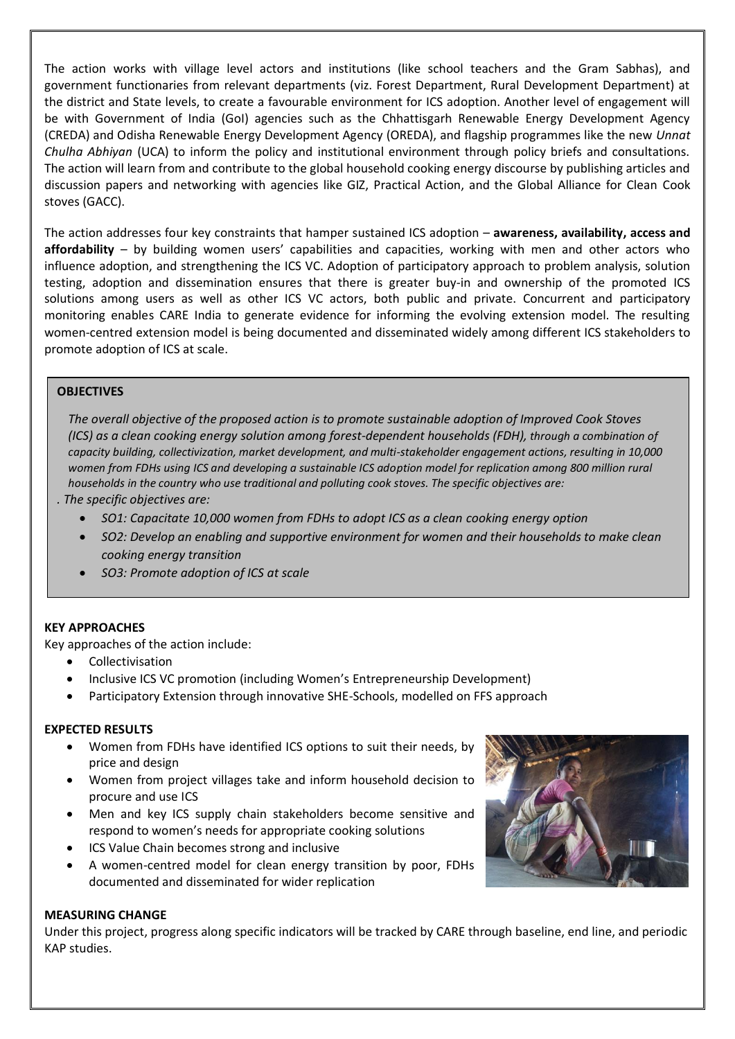The action works with village level actors and institutions (like school teachers and the Gram Sabhas), and government functionaries from relevant departments (viz. Forest Department, Rural Development Department) at the district and State levels, to create a favourable environment for ICS adoption. Another level of engagement will be with Government of India (GoI) agencies such as the Chhattisgarh Renewable Energy Development Agency (CREDA) and Odisha Renewable Energy Development Agency (OREDA), and flagship programmes like the new *Unnat Chulha Abhiyan* (UCA) to inform the policy and institutional environment through policy briefs and consultations. The action will learn from and contribute to the global household cooking energy discourse by publishing articles and discussion papers and networking with agencies like GIZ, Practical Action, and the Global Alliance for Clean Cook stoves (GACC).

The action addresses four key constraints that hamper sustained ICS adoption – **awareness, availability, access and affordability** – by building women users' capabilities and capacities, working with men and other actors who influence adoption, and strengthening the ICS VC. Adoption of participatory approach to problem analysis, solution testing, adoption and dissemination ensures that there is greater buy-in and ownership of the promoted ICS solutions among users as well as other ICS VC actors, both public and private. Concurrent and participatory monitoring enables CARE India to generate evidence for informing the evolving extension model. The resulting women-centred extension model is being documented and disseminated widely among different ICS stakeholders to promote adoption of ICS at scale.

## **OBJECTIVES**

*The overall objective of the proposed action is to promote sustainable adoption of Improved Cook Stoves (ICS) as a clean cooking energy solution among forest-dependent households (FDH), through a combination of capacity building, collectivization, market development, and multi-stakeholder engagement actions, resulting in 10,000*  women from FDHs using ICS and developing a sustainable ICS adoption model for replication among 800 million rural *households in the country who use traditional and polluting cook stoves. The specific objectives are:*

- *. The specific objectives are:*
	- *SO1: Capacitate 10,000 women from FDHs to adopt ICS as a clean cooking energy option*
	- *SO2: Develop an enabling and supportive environment for women and their households to make clean cooking energy transition*
	- *SO3: Promote adoption of ICS at scale*

## **KEY APPROACHES**

Key approaches of the action include:

- Collectivisation
- Inclusive ICS VC promotion (including Women's Entrepreneurship Development)
- Participatory Extension through innovative SHE-Schools, modelled on FFS approach

## **EXPECTED RESULTS**

- Women from FDHs have identified ICS options to suit their needs, by price and design
- Women from project villages take and inform household decision to procure and use ICS
- Men and key ICS supply chain stakeholders become sensitive and respond to women's needs for appropriate cooking solutions
- ICS Value Chain becomes strong and inclusive
- A women-centred model for clean energy transition by poor, FDHs documented and disseminated for wider replication

## **MEASURING CHANGE**

Under this project, progress along specific indicators will be tracked by CARE through baseline, end line, and periodic KAP studies.